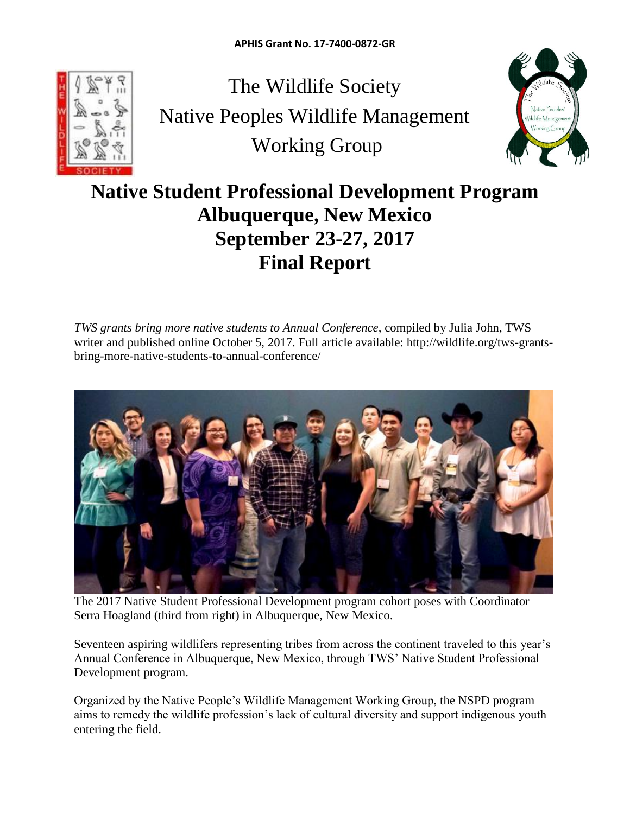

The Wildlife Society Native Peoples Wildlife Management Working Group



# **Native Student Professional Development Program Albuquerque, New Mexico September 23-27, 2017 Final Report**

*TWS grants bring more native students to Annual Conference,* compiled by Julia John, TWS writer and published online October 5, 2017*.* Full article available: http://wildlife.org/tws-grantsbring-more-native-students-to-annual-conference/



The 2017 Native Student Professional Development program cohort poses with Coordinator Serra Hoagland (third from right) in Albuquerque, New Mexico.

Seventeen aspiring wildlifers representing tribes from across the continent traveled to this year's Annual Conference in Albuquerque, New Mexico, through TWS' Native Student Professional Development program.

Organized by the Native People's Wildlife Management Working Group, the NSPD program aims to remedy the wildlife profession's lack of cultural diversity and support indigenous youth entering the field.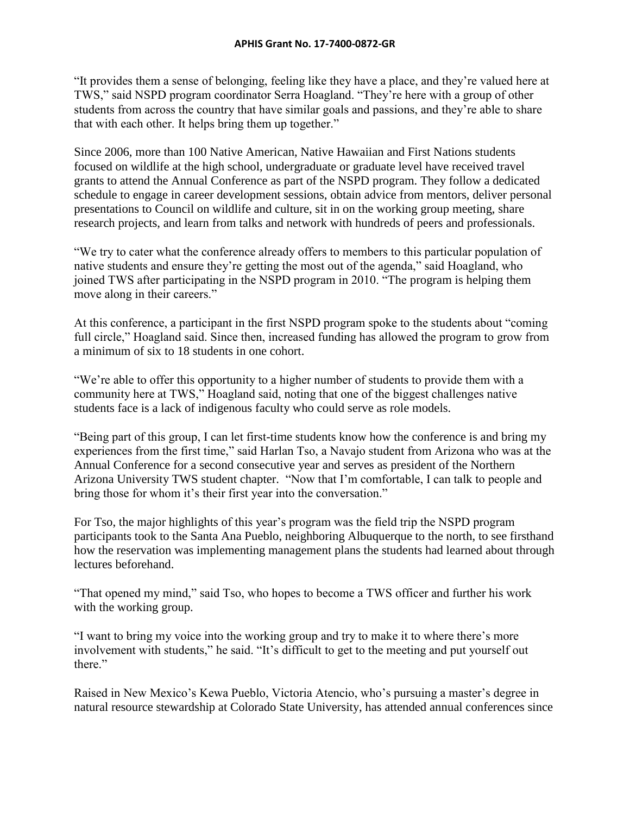"It provides them a sense of belonging, feeling like they have a place, and they're valued here at TWS," said NSPD program coordinator Serra Hoagland. "They're here with a group of other students from across the country that have similar goals and passions, and they're able to share that with each other. It helps bring them up together."

Since 2006, more than 100 Native American, Native Hawaiian and First Nations students focused on wildlife at the high school, undergraduate or graduate level have received travel grants to attend the Annual Conference as part of the NSPD program. They follow a dedicated schedule to engage in career development sessions, obtain advice from mentors, deliver personal presentations to Council on wildlife and culture, sit in on the working group meeting, share research projects, and learn from talks and network with hundreds of peers and professionals.

"We try to cater what the conference already offers to members to this particular population of native students and ensure they're getting the most out of the agenda," said Hoagland, who joined TWS after participating in the NSPD program in 2010. "The program is helping them move along in their careers."

At this conference, a participant in the first NSPD program spoke to the students about "coming full circle," Hoagland said. Since then, increased funding has allowed the program to grow from a minimum of six to 18 students in one cohort.

"We're able to offer this opportunity to a higher number of students to provide them with a community here at TWS," Hoagland said, noting that one of the biggest challenges native students face is a lack of indigenous faculty who could serve as role models.

"Being part of this group, I can let first-time students know how the conference is and bring my experiences from the first time," said Harlan Tso, a Navajo student from Arizona who was at the Annual Conference for a second consecutive year and serves as president of the Northern Arizona University TWS student chapter. "Now that I'm comfortable, I can talk to people and bring those for whom it's their first year into the conversation."

For Tso, the major highlights of this year's program was the field trip the NSPD program participants took to the Santa Ana Pueblo, neighboring Albuquerque to the north, to see firsthand how the reservation was implementing management plans the students had learned about through lectures beforehand.

"That opened my mind," said Tso, who hopes to become a TWS officer and further his work with the working group.

"I want to bring my voice into the working group and try to make it to where there's more involvement with students," he said. "It's difficult to get to the meeting and put yourself out there."

Raised in New Mexico's Kewa Pueblo, Victoria Atencio, who's pursuing a master's degree in natural resource stewardship at Colorado State University, has attended annual conferences since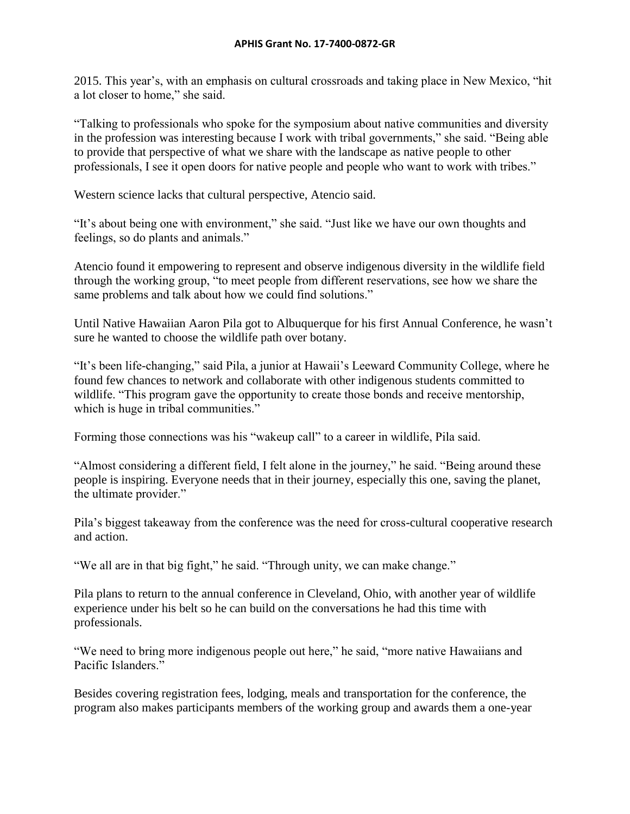2015. This year's, with an emphasis on cultural crossroads and taking place in New Mexico, "hit a lot closer to home," she said.

"Talking to professionals who spoke for the symposium about native communities and diversity in the profession was interesting because I work with tribal governments," she said. "Being able to provide that perspective of what we share with the landscape as native people to other professionals, I see it open doors for native people and people who want to work with tribes."

Western science lacks that cultural perspective, Atencio said.

"It's about being one with environment," she said. "Just like we have our own thoughts and feelings, so do plants and animals."

Atencio found it empowering to represent and observe indigenous diversity in the wildlife field through the working group, "to meet people from different reservations, see how we share the same problems and talk about how we could find solutions."

Until Native Hawaiian Aaron Pila got to Albuquerque for his first Annual Conference, he wasn't sure he wanted to choose the wildlife path over botany.

"It's been life-changing," said Pila, a junior at Hawaii's Leeward Community College, where he found few chances to network and collaborate with other indigenous students committed to wildlife. "This program gave the opportunity to create those bonds and receive mentorship, which is huge in tribal communities."

Forming those connections was his "wakeup call" to a career in wildlife, Pila said.

"Almost considering a different field, I felt alone in the journey," he said. "Being around these people is inspiring. Everyone needs that in their journey, especially this one, saving the planet, the ultimate provider."

Pila's biggest takeaway from the conference was the need for cross-cultural cooperative research and action.

"We all are in that big fight," he said. "Through unity, we can make change."

Pila plans to return to the annual conference in Cleveland, Ohio, with another year of wildlife experience under his belt so he can build on the conversations he had this time with professionals.

"We need to bring more indigenous people out here," he said, "more native Hawaiians and Pacific Islanders."

Besides covering registration fees, lodging, meals and transportation for the conference, the program also makes participants members of the working group and awards them a one-year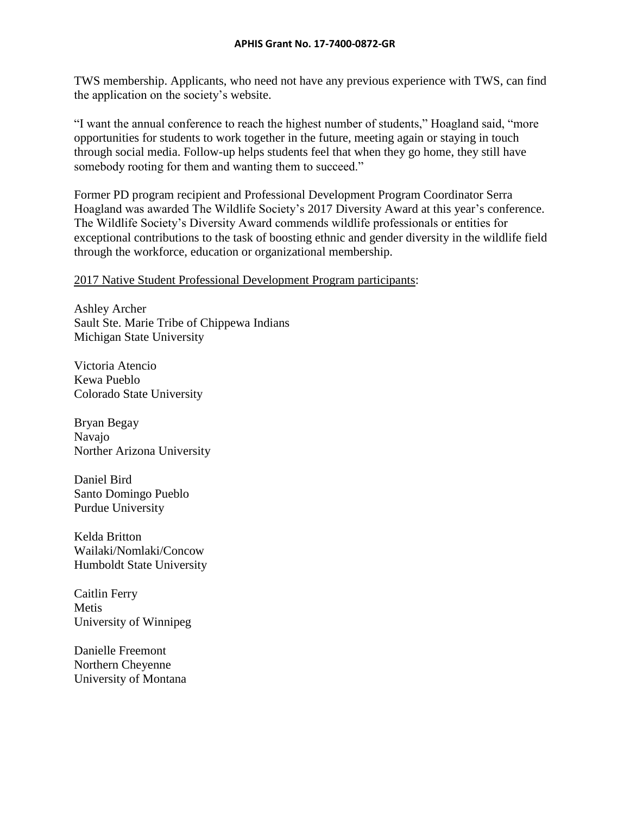TWS membership. Applicants, who need not have any previous experience with TWS, can find the application on the society's [website.](http://wildlife.org/npwmwg/professional-development-program/)

"I want the annual conference to reach the highest number of students," Hoagland said, "more opportunities for students to work together in the future, meeting again or staying in touch through social media. Follow-up helps students feel that when they go home, they still have somebody rooting for them and wanting them to succeed."

Former PD program recipient and Professional Development Program Coordinator Serra Hoagland was awarded The Wildlife Society's 2017 Diversity Award at this year's conference. The Wildlife Society's Diversity Award commends wildlife professionals or entities for exceptional contributions to the task of boosting ethnic and gender diversity in the wildlife field through the workforce, education or organizational membership.

#### 2017 Native Student Professional Development Program participants:

Ashley Archer Sault Ste. Marie Tribe of Chippewa Indians Michigan State University

Victoria Atencio Kewa Pueblo Colorado State University

Bryan Begay Navajo Norther Arizona University

Daniel Bird Santo Domingo Pueblo Purdue University

Kelda Britton Wailaki/Nomlaki/Concow Humboldt State University

Caitlin Ferry Metis University of Winnipeg

Danielle Freemont Northern Cheyenne University of Montana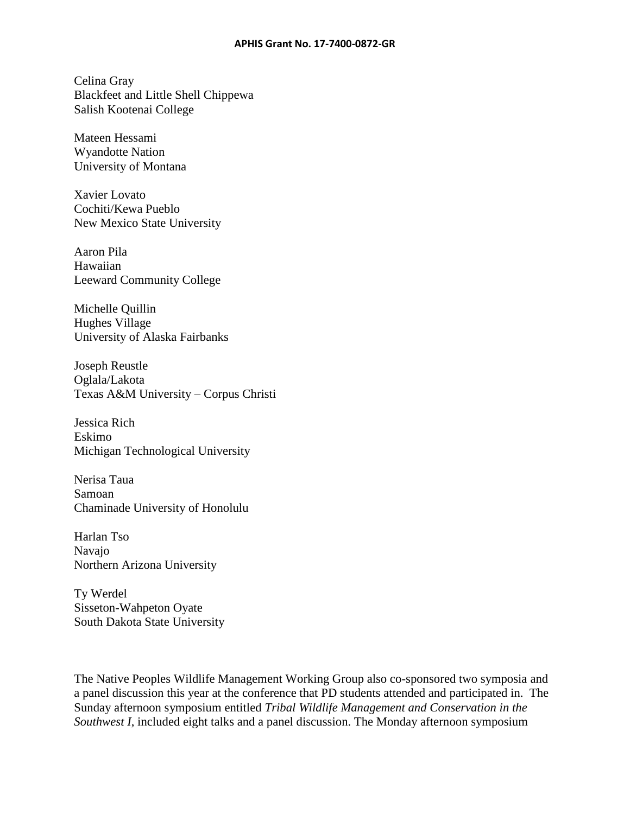#### **APHIS Grant No. 17-7400-0872-GR**

Celina Gray Blackfeet and Little Shell Chippewa Salish Kootenai College

Mateen Hessami Wyandotte Nation University of Montana

Xavier Lovato Cochiti/Kewa Pueblo New Mexico State University

Aaron Pila Hawaiian Leeward Community College

Michelle Quillin Hughes Village University of Alaska Fairbanks

Joseph Reustle Oglala/Lakota Texas A&M University – Corpus Christi

Jessica Rich Eskimo Michigan Technological University

Nerisa Taua Samoan Chaminade University of Honolulu

Harlan Tso Navajo Northern Arizona University

Ty Werdel Sisseton-Wahpeton Oyate South Dakota State University

The Native Peoples Wildlife Management Working Group also co-sponsored two symposia and a panel discussion this year at the conference that PD students attended and participated in. The Sunday afternoon symposium entitled *Tribal Wildlife Management and Conservation in the Southwest I*, included eight talks and a panel discussion. The Monday afternoon symposium